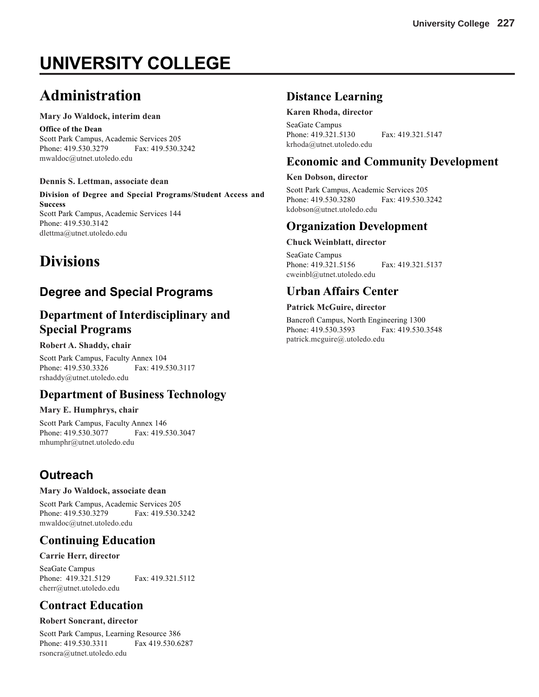# **UNIVERSITY COLLEGE**

# **Administration**

#### **Mary Jo Waldock, interim dean**

**Office of the Dean** Scott Park Campus, Academic Services 205 Phone: 419.530.3279 Fax: 419.530.3242 mwaldoc@utnet.utoledo.edu

#### **Dennis S. Lettman, associate dean**

**Division of Degree and Special Programs/Student Access and Success** Scott Park Campus, Academic Services 144 Phone: 419.530.3142 dlettma@utnet.utoledo.edu

# **Divisions**

# **Degree and Special Programs**

### **Department of Interdisciplinary and Special Programs**

#### **Robert A. Shaddy, chair**

Scott Park Campus, Faculty Annex 104<br>Phone: 419.530.3326 Fax: 419.530.3117 Phone: 419.530.3326 rshaddy@utnet.utoledo.edu

### **Department of Business Technology**

#### **Mary E. Humphrys, chair**

Scott Park Campus, Faculty Annex 146 Phone: 419.530.3077 Fax: 419.530.3047 mhumphr@utnet.utoledo.edu

# **Outreach**

#### **Mary Jo Waldock, associate dean**

Scott Park Campus, Academic Services 205 Phone: 419.530.3279 Fax: 419.530.3242 mwaldoc@utnet.utoledo.edu

## **Continuing Education**

#### **Carrie Herr, director**

SeaGate Campus Phone: 419.321.5129 Fax: 419.321.5112 cherr@utnet.utoledo.edu

## **Contract Education**

#### **Robert Soncrant, director**

Scott Park Campus, Learning Resource 386 Phone: 419.530.3311 Fax 419.530.6287 rsoncra@utnet.utoledo.edu

### **Distance Learning**

#### **Karen Rhoda, director**

SeaGate Campus Phone: 419.321.5130 Fax: 419.321.5147 krhoda@utnet.utoledo.edu

### **Economic and Community Development**

#### **Ken Dobson, director**

Scott Park Campus, Academic Services 205 Phone: 419.530.3280 Fax: 419.530.3242 kdobson@utnet.utoledo.edu

### **Organization Development**

#### **Chuck Weinblatt, director**

SeaGate Campus Phone: 419.321.5156 Fax: 419.321.5137 cweinbl@utnet.utoledo.edu

### **Urban Affairs Center**

#### **Patrick McGuire, director**

Bancroft Campus, North Engineering 1300 Phone: 419.530.3593 Fax: 419.530.3548 patrick.mcguire@.utoledo.edu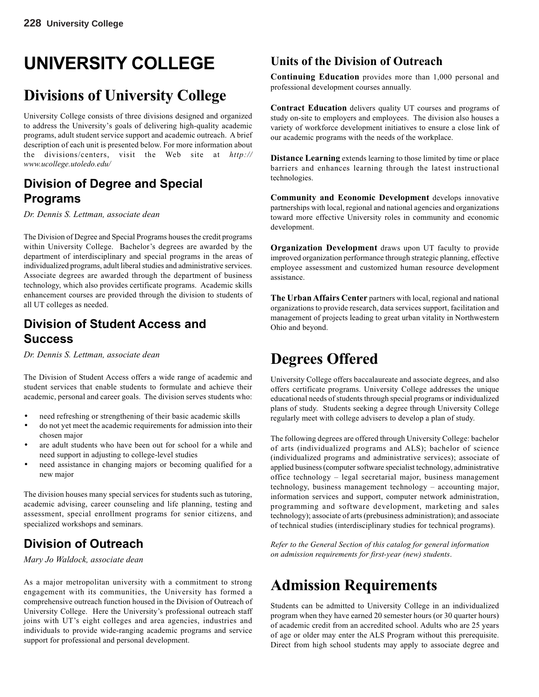# **UNIVERSITY COLLEGE**

# **Divisions of University College**

University College consists of three divisions designed and organized to address the University's goals of delivering high-quality academic programs, adult student service support and academic outreach. A brief description of each unit is presented below. For more information about the divisions/centers, visit the Web site at *http:// www.ucollege.utoledo.edu/*

### **Division of Degree and Special Programs**

*Dr. Dennis S. Lettman, associate dean*

The Division of Degree and Special Programs houses the credit programs within University College. Bachelor's degrees are awarded by the department of interdisciplinary and special programs in the areas of individualized programs, adult liberal studies and administrative services. Associate degrees are awarded through the department of business technology, which also provides certificate programs. Academic skills enhancement courses are provided through the division to students of all UT colleges as needed.

## **Division of Student Access and Success**

*Dr. Dennis S. Lettman, associate dean*

The Division of Student Access offers a wide range of academic and student services that enable students to formulate and achieve their academic, personal and career goals. The division serves students who:

- need refreshing or strengthening of their basic academic skills
- do not yet meet the academic requirements for admission into their chosen major
- are adult students who have been out for school for a while and need support in adjusting to college-level studies
- need assistance in changing majors or becoming qualified for a new major

The division houses many special services for students such as tutoring, academic advising, career counseling and life planning, testing and assessment, special enrollment programs for senior citizens, and specialized workshops and seminars.

# **Division of Outreach**

*Mary Jo Waldock, associate dean*

As a major metropolitan university with a commitment to strong engagement with its communities, the University has formed a comprehensive outreach function housed in the Division of Outreach of University College. Here the University's professional outreach staff joins with UT's eight colleges and area agencies, industries and individuals to provide wide-ranging academic programs and service support for professional and personal development.

## **Units of the Division of Outreach**

**Continuing Education** provides more than 1,000 personal and professional development courses annually.

**Contract Education** delivers quality UT courses and programs of study on-site to employers and employees. The division also houses a variety of workforce development initiatives to ensure a close link of our academic programs with the needs of the workplace.

**Distance Learning** extends learning to those limited by time or place barriers and enhances learning through the latest instructional technologies.

**Community and Economic Development** develops innovative partnerships with local, regional and national agencies and organizations toward more effective University roles in community and economic development.

**Organization Development** draws upon UT faculty to provide improved organization performance through strategic planning, effective employee assessment and customized human resource development assistance.

**The Urban Affairs Center** partners with local, regional and national organizations to provide research, data services support, facilitation and management of projects leading to great urban vitality in Northwestern Ohio and beyond.

# **Degrees Offered**

University College offers baccalaureate and associate degrees, and also offers certificate programs. University College addresses the unique educational needs of students through special programs or individualized plans of study. Students seeking a degree through University College regularly meet with college advisers to develop a plan of study.

The following degrees are offered through University College: bachelor of arts (individualized programs and ALS); bachelor of science (individualized programs and administrative services); associate of applied business (computer software specialist technology, administrative office technology – legal secretarial major, business management technology, business management technology – accounting major, information services and support, computer network administration, programming and software development, marketing and sales technology); associate of arts (prebusiness administration); and associate of technical studies (interdisciplinary studies for technical programs).

*Refer to the General Section of this catalog for general information on admission requirements for first-year (new) students*.

# **Admission Requirements**

Students can be admitted to University College in an individualized program when they have earned 20 semester hours (or 30 quarter hours) of academic credit from an accredited school. Adults who are 25 years of age or older may enter the ALS Program without this prerequisite. Direct from high school students may apply to associate degree and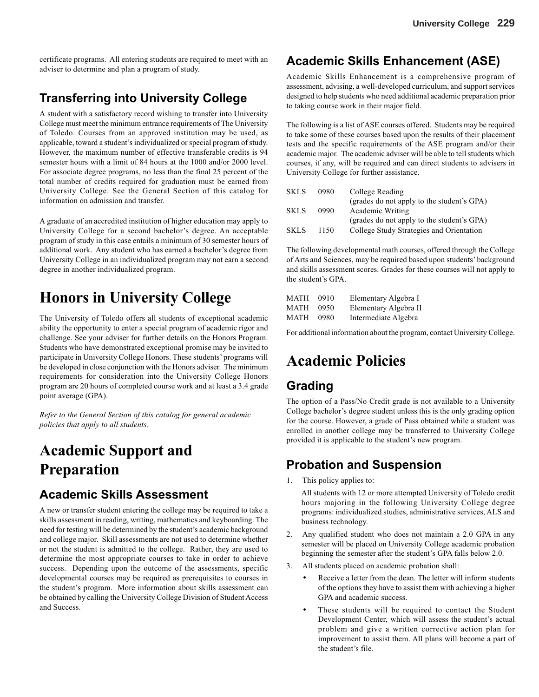certificate programs. All entering students are required to meet with an adviser to determine and plan a program of study.

## **Transferring into University College**

A student with a satisfactory record wishing to transfer into University College must meet the minimum entrance requirements of The University of Toledo. Courses from an approved institution may be used, as applicable, toward a student's individualized or special program of study. However, the maximum number of effective transferable credits is 94 semester hours with a limit of 84 hours at the 1000 and/or 2000 level. For associate degree programs, no less than the final 25 percent of the total number of credits required for graduation must be earned from University College. See the General Section of this catalog for information on admission and transfer.

A graduate of an accredited institution of higher education may apply to University College for a second bachelor's degree. An acceptable program of study in this case entails a minimum of 30 semester hours of additional work. Any student who has earned a bachelor's degree from University College in an individualized program may not earn a second degree in another individualized program.

# **Honors in University College**

The University of Toledo offers all students of exceptional academic ability the opportunity to enter a special program of academic rigor and challenge. See your adviser for further details on the Honors Program. Students who have demonstrated exceptional promise may be invited to participate in University College Honors. These students' programs will be developed in close conjunction with the Honors adviser. The minimum requirements for consideration into the University College Honors program are 20 hours of completed course work and at least a 3.4 grade point average (GPA).

*Refer to the General Section of this catalog for general academic policies that apply to all students*.

# **Academic Support and Preparation**

### **Academic Skills Assessment**

A new or transfer student entering the college may be required to take a skills assessment in reading, writing, mathematics and keyboarding. The need for testing will be determined by the student's academic background and college major. Skill assessments are not used to determine whether or not the student is admitted to the college. Rather, they are used to determine the most appropriate courses to take in order to achieve success. Depending upon the outcome of the assessments, specific developmental courses may be required as prerequisites to courses in the student's program. More information about skills assessment can be obtained by calling the University College Division of Student Access and Success.

### **Academic Skills Enhancement (ASE)**

Academic Skills Enhancement is a comprehensive program of assessment, advising, a well-developed curriculum, and support services designed to help students who need additional academic preparation prior to taking course work in their major field.

The following is a list of ASE courses offered. Students may be required to take some of these courses based upon the results of their placement tests and the specific requirements of the ASE program and/or their academic major. The academic adviser will be able to tell students which courses, if any, will be required and can direct students to advisers in University College for further assistance.

| <b>SKLS</b> | 0980 | College Reading                            |
|-------------|------|--------------------------------------------|
|             |      | (grades do not apply to the student's GPA) |
| <b>SKLS</b> | 0990 | Academic Writing                           |
|             |      | (grades do not apply to the student's GPA) |
| <b>SKLS</b> | 1150 | College Study Strategies and Orientation   |

The following developmental math courses, offered through the College of Arts and Sciences, may be required based upon students' background and skills assessment scores. Grades for these courses will not apply to the student's GPA.

| MATH | 0910 | Elementary Algebra I  |
|------|------|-----------------------|
| MATH | 0950 | Elementary Algebra II |
| MATH | 0980 | Intermediate Algebra  |

For additional information about the program, contact University College.

# **Academic Policies**

### **Grading**

The option of a Pass/No Credit grade is not available to a University College bachelor's degree student unless this is the only grading option for the course. However, a grade of Pass obtained while a student was enrolled in another college may be transferred to University College provided it is applicable to the student's new program.

### **Probation and Suspension**

1. This policy applies to:

All students with 12 or more attempted University of Toledo credit hours majoring in the following University College degree programs: individualized studies, administrative services, ALS and business technology.

- 2. Any qualified student who does not maintain a 2.0 GPA in any semester will be placed on University College academic probation beginning the semester after the student's GPA falls below 2.0.
- 3. All students placed on academic probation shall:
	- Receive a letter from the dean. The letter will inform students of the options they have to assist them with achieving a higher GPA and academic success.
	- These students will be required to contact the Student Development Center, which will assess the student's actual problem and give a written corrective action plan for improvement to assist them. All plans will become a part of the student's file.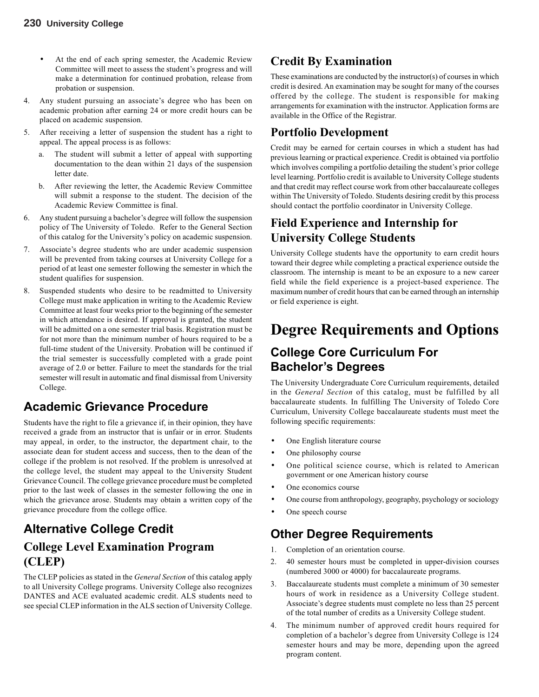- At the end of each spring semester, the Academic Review Committee will meet to assess the student's progress and will make a determination for continued probation, release from probation or suspension.
- 4. Any student pursuing an associate's degree who has been on academic probation after earning 24 or more credit hours can be placed on academic suspension.
- 5. After receiving a letter of suspension the student has a right to appeal. The appeal process is as follows:
	- a. The student will submit a letter of appeal with supporting documentation to the dean within 21 days of the suspension letter date.
	- b. After reviewing the letter, the Academic Review Committee will submit a response to the student. The decision of the Academic Review Committee is final.
- 6. Any student pursuing a bachelor's degree will follow the suspension policy of The University of Toledo. Refer to the General Section of this catalog for the University's policy on academic suspension.
- 7. Associate's degree students who are under academic suspension will be prevented from taking courses at University College for a period of at least one semester following the semester in which the student qualifies for suspension.
- 8. Suspended students who desire to be readmitted to University College must make application in writing to the Academic Review Committee at least four weeks prior to the beginning of the semester in which attendance is desired. If approval is granted, the student will be admitted on a one semester trial basis. Registration must be for not more than the minimum number of hours required to be a full-time student of the University. Probation will be continued if the trial semester is successfully completed with a grade point average of 2.0 or better. Failure to meet the standards for the trial semester will result in automatic and final dismissal from University College.

# **Academic Grievance Procedure**

Students have the right to file a grievance if, in their opinion, they have received a grade from an instructor that is unfair or in error. Students may appeal, in order, to the instructor, the department chair, to the associate dean for student access and success, then to the dean of the college if the problem is not resolved. If the problem is unresolved at the college level, the student may appeal to the University Student Grievance Council. The college grievance procedure must be completed prior to the last week of classes in the semester following the one in which the grievance arose. Students may obtain a written copy of the grievance procedure from the college office.

# **Alternative College Credit**

# **College Level Examination Program (CLEP)**

The CLEP policies as stated in the *General Section* of this catalog apply to all University College programs. University College also recognizes DANTES and ACE evaluated academic credit. ALS students need to see special CLEP information in the ALS section of University College.

# **Credit By Examination**

These examinations are conducted by the instructor(s) of courses in which credit is desired. An examination may be sought for many of the courses offered by the college. The student is responsible for making arrangements for examination with the instructor. Application forms are available in the Office of the Registrar.

### **Portfolio Development**

Credit may be earned for certain courses in which a student has had previous learning or practical experience. Credit is obtained via portfolio which involves compiling a portfolio detailing the student's prior college level learning. Portfolio credit is available to University College students and that credit may reflect course work from other baccalaureate colleges within The University of Toledo. Students desiring credit by this process should contact the portfolio coordinator in University College.

## **Field Experience and Internship for University College Students**

University College students have the opportunity to earn credit hours toward their degree while completing a practical experience outside the classroom. The internship is meant to be an exposure to a new career field while the field experience is a project-based experience. The maximum number of credit hours that can be earned through an internship or field experience is eight.

# **Degree Requirements and Options**

# **College Core Curriculum For Bachelor's Degrees**

The University Undergraduate Core Curriculum requirements, detailed in the *General Section* of this catalog, must be fulfilled by all baccalaureate students. In fulfilling The University of Toledo Core Curriculum, University College baccalaureate students must meet the following specific requirements:

- One English literature course
- One philosophy course
- One political science course, which is related to American government or one American history course
- One economics course
- One course from anthropology, geography, psychology or sociology
- One speech course

# **Other Degree Requirements**

- 1. Completion of an orientation course.
- 2. 40 semester hours must be completed in upper-division courses (numbered 3000 or 4000) for baccalaureate programs.
- 3. Baccalaureate students must complete a minimum of 30 semester hours of work in residence as a University College student. Associate's degree students must complete no less than 25 percent of the total number of credits as a University College student.
- 4. The minimum number of approved credit hours required for completion of a bachelor's degree from University College is 124 semester hours and may be more, depending upon the agreed program content.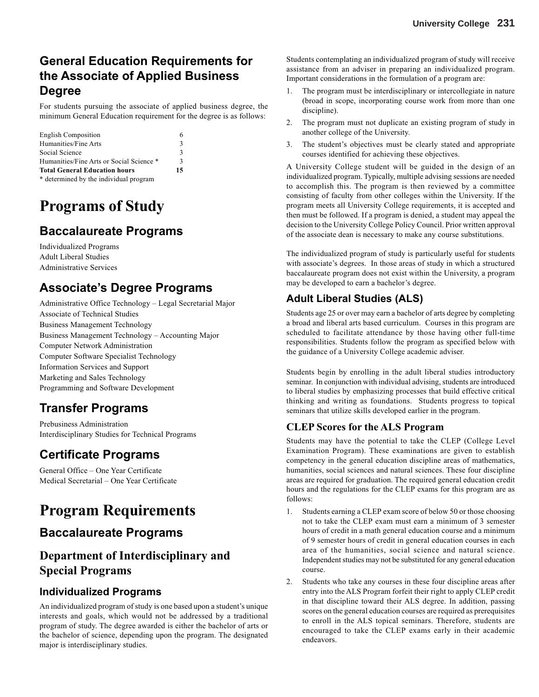# **General Education Requirements for the Associate of Applied Business Degree**

For students pursuing the associate of applied business degree, the minimum General Education requirement for the degree is as follows:

| <b>English Composition</b>               | 6  |
|------------------------------------------|----|
| Humanities/Fine Arts                     | 3  |
| Social Science                           | 3  |
| Humanities/Fine Arts or Social Science * | 3  |
| <b>Total General Education hours</b>     | 15 |
| * determined by the individual program   |    |

# **Programs of Study**

# **Baccalaureate Programs**

Individualized Programs Adult Liberal Studies Administrative Services

# **Associate's Degree Programs**

Administrative Office Technology – Legal Secretarial Major Associate of Technical Studies Business Management Technology Business Management Technology – Accounting Major Computer Network Administration Computer Software Specialist Technology Information Services and Support Marketing and Sales Technology Programming and Software Development

# **Transfer Programs**

Prebusiness Administration Interdisciplinary Studies for Technical Programs

# **Certificate Programs**

General Office – One Year Certificate Medical Secretarial – One Year Certificate

# **Program Requirements**

## **Baccalaureate Programs**

## **Department of Interdisciplinary and Special Programs**

### **Individualized Programs**

An individualized program of study is one based upon a student's unique interests and goals, which would not be addressed by a traditional program of study. The degree awarded is either the bachelor of arts or the bachelor of science, depending upon the program. The designated major is interdisciplinary studies.

Students contemplating an individualized program of study will receive assistance from an adviser in preparing an individualized program. Important considerations in the formulation of a program are:

- 1. The program must be interdisciplinary or intercollegiate in nature (broad in scope, incorporating course work from more than one discipline).
- 2. The program must not duplicate an existing program of study in another college of the University.
- 3. The student's objectives must be clearly stated and appropriate courses identified for achieving these objectives.

A University College student will be guided in the design of an individualized program. Typically, multiple advising sessions are needed to accomplish this. The program is then reviewed by a committee consisting of faculty from other colleges within the University. If the program meets all University College requirements, it is accepted and then must be followed. If a program is denied, a student may appeal the decision to the University College Policy Council. Prior written approval of the associate dean is necessary to make any course substitutions.

The individualized program of study is particularly useful for students with associate's degrees. In those areas of study in which a structured baccalaureate program does not exist within the University, a program may be developed to earn a bachelor's degree.

### **Adult Liberal Studies (ALS)**

Students age 25 or over may earn a bachelor of arts degree by completing a broad and liberal arts based curriculum. Courses in this program are scheduled to facilitate attendance by those having other full-time responsibilities. Students follow the program as specified below with the guidance of a University College academic adviser.

Students begin by enrolling in the adult liberal studies introductory seminar. In conjunction with individual advising, students are introduced to liberal studies by emphasizing processes that build effective critical thinking and writing as foundations. Students progress to topical seminars that utilize skills developed earlier in the program.

### **CLEP Scores for the ALS Program**

Students may have the potential to take the CLEP (College Level Examination Program). These examinations are given to establish competency in the general education discipline areas of mathematics, humanities, social sciences and natural sciences. These four discipline areas are required for graduation. The required general education credit hours and the regulations for the CLEP exams for this program are as follows:

- 1. Students earning a CLEP exam score of below 50 or those choosing not to take the CLEP exam must earn a minimum of 3 semester hours of credit in a math general education course and a minimum of 9 semester hours of credit in general education courses in each area of the humanities, social science and natural science. Independent studies may not be substituted for any general education course.
- 2. Students who take any courses in these four discipline areas after entry into the ALS Program forfeit their right to apply CLEP credit in that discipline toward their ALS degree. In addition, passing scores on the general education courses are required as prerequisites to enroll in the ALS topical seminars. Therefore, students are encouraged to take the CLEP exams early in their academic endeavors.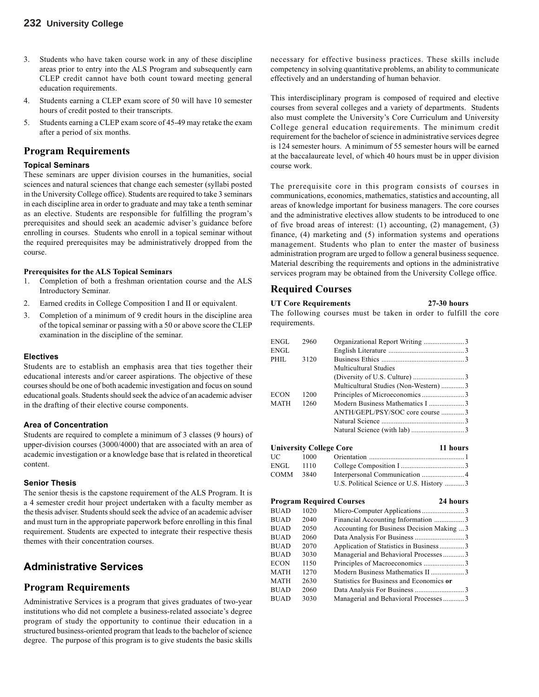- 3. Students who have taken course work in any of these discipline areas prior to entry into the ALS Program and subsequently earn CLEP credit cannot have both count toward meeting general education requirements.
- 4. Students earning a CLEP exam score of 50 will have 10 semester hours of credit posted to their transcripts.
- 5. Students earning a CLEP exam score of 45-49 may retake the exam after a period of six months.

#### **Program Requirements**

#### **Topical Seminars**

These seminars are upper division courses in the humanities, social sciences and natural sciences that change each semester (syllabi posted in the University College office). Students are required to take 3 seminars in each discipline area in order to graduate and may take a tenth seminar as an elective. Students are responsible for fulfilling the program's prerequisites and should seek an academic adviser's guidance before enrolling in courses. Students who enroll in a topical seminar without the required prerequisites may be administratively dropped from the course.

#### **Prerequisites for the ALS Topical Seminars**

- 1. Completion of both a freshman orientation course and the ALS Introductory Seminar.
- 2. Earned credits in College Composition I and II or equivalent.
- 3. Completion of a minimum of 9 credit hours in the discipline area of the topical seminar or passing with a 50 or above score the CLEP examination in the discipline of the seminar.

#### **Electives**

Students are to establish an emphasis area that ties together their educational interests and/or career aspirations. The objective of these courses should be one of both academic investigation and focus on sound educational goals. Students should seek the advice of an academic adviser in the drafting of their elective course components.

#### **Area of Concentration**

Students are required to complete a minimum of 3 classes (9 hours) of upper-division courses (3000/4000) that are associated with an area of academic investigation or a knowledge base that is related in theoretical content.

#### **Senior Thesis**

The senior thesis is the capstone requirement of the ALS Program. It is a 4 semester credit hour project undertaken with a faculty member as the thesis adviser. Students should seek the advice of an academic adviser and must turn in the appropriate paperwork before enrolling in this final requirement. Students are expected to integrate their respective thesis themes with their concentration courses.

### **Administrative Services**

#### **Program Requirements**

Administrative Services is a program that gives graduates of two-year institutions who did not complete a business-related associate's degree program of study the opportunity to continue their education in a structured business-oriented program that leads to the bachelor of science degree. The purpose of this program is to give students the basic skills necessary for effective business practices. These skills include competency in solving quantitative problems, an ability to communicate effectively and an understanding of human behavior.

This interdisciplinary program is composed of required and elective courses from several colleges and a variety of departments. Students also must complete the University's Core Curriculum and University College general education requirements. The minimum credit requirement for the bachelor of science in administrative services degree is 124 semester hours. A minimum of 55 semester hours will be earned at the baccalaureate level, of which 40 hours must be in upper division course work.

The prerequisite core in this program consists of courses in communications, economics, mathematics, statistics and accounting, all areas of knowledge important for business managers. The core courses and the administrative electives allow students to be introduced to one of five broad areas of interest: (1) accounting, (2) management, (3) finance, (4) marketing and (5) information systems and operations management. Students who plan to enter the master of business administration program are urged to follow a general business sequence. Material describing the requirements and options in the administrative services program may be obtained from the University College office.

#### **Required Courses**

### **UT Core Requirements 27-30 hours**

The following courses must be taken in order to fulfill the core requirements.

| ENGL  | 2960 |                                       |  |
|-------|------|---------------------------------------|--|
| ENGL  |      |                                       |  |
| PHIL. | 3120 |                                       |  |
|       |      | Multicultural Studies                 |  |
|       |      |                                       |  |
|       |      | Multicultural Studies (Non-Western) 3 |  |
| ECON  | 1200 |                                       |  |
| MATH  | 1260 |                                       |  |
|       |      | ANTH/GEPL/PSY/SOC core course 3       |  |
|       |      |                                       |  |
|       |      |                                       |  |
|       |      |                                       |  |

| <b>University College Core</b> |      |                                          | 11 hours |
|--------------------------------|------|------------------------------------------|----------|
| UC —                           | 1000 |                                          |          |
| ENGL                           | 1110 |                                          |          |
| COMM                           | 3840 |                                          |          |
|                                |      | U.S. Political Science or U.S. History 3 |          |

|             |      | <b>Program Required Courses</b>            | 24 hours |  |
|-------------|------|--------------------------------------------|----------|--|
| BUAD        | 1020 |                                            |          |  |
| BUAD        | 2040 | Financial Accounting Information 3         |          |  |
| BUAD        | 2050 | Accounting for Business Decision Making  3 |          |  |
| BUAD        | 2060 |                                            |          |  |
| BUAD        | 2070 | Application of Statistics in Business3     |          |  |
| <b>BUAD</b> | 3030 | Managerial and Behavioral Processes3       |          |  |
| ECON        | 1150 |                                            |          |  |
| MATH        | 1270 | Modern Business Mathematics II3            |          |  |
| MATH        | 2630 | Statistics for Business and Economics or   |          |  |
| <b>BUAD</b> | 2060 |                                            |          |  |
| BUAD        | 3030 | Managerial and Behavioral Processes3       |          |  |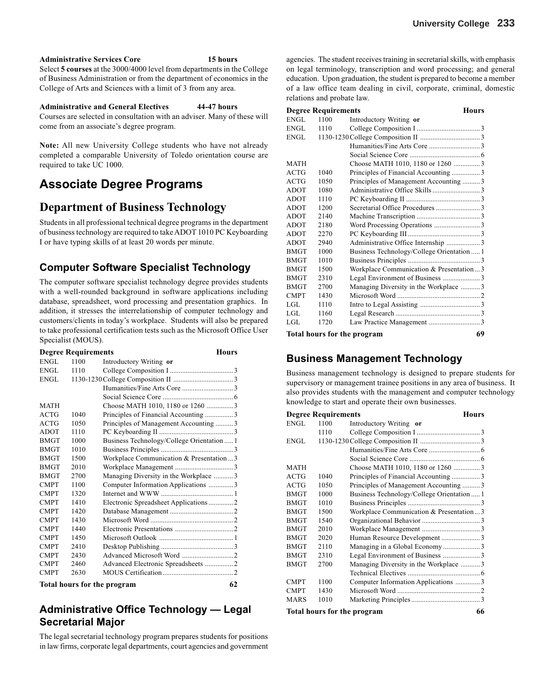#### **Administrative Services Core 15 hours**

Select **5 courses** at the 3000/4000 level from departments in the College of Business Administration or from the department of economics in the College of Arts and Sciences with a limit of 3 from any area.

#### **Administrative and General Electives 44-47 hours**

Courses are selected in consultation with an adviser. Many of these will come from an associate's degree program.

**Note:** All new University College students who have not already completed a comparable University of Toledo orientation course are required to take UC 1000.

# **Associate Degree Programs**

## **Department of Business Technology**

Students in all professional technical degree programs in the department of business technology are required to take ADOT 1010 PC Keyboarding I or have typing skills of at least 20 words per minute.

### **Computer Software Specialist Technology**

The computer software specialist technology degree provides students with a well-rounded background in software applications including database, spreadsheet, word processing and presentation graphics. In addition, it stresses the interrelationship of computer technology and customers/clients in today's workplace. Students will also be prepared to take professional certification tests such as the Microsoft Office User Specialist (MOUS).

|             | <b>Degree Requirements</b> | <b>Hours</b>                               |
|-------------|----------------------------|--------------------------------------------|
| ENGL        | 1100                       | Introductory Writing or                    |
| <b>ENGL</b> | 1110                       |                                            |
| ENGL        |                            |                                            |
|             |                            |                                            |
|             |                            |                                            |
| <b>MATH</b> |                            | Choose MATH 1010, 1180 or 1260 3           |
| <b>ACTG</b> | 1040                       | Principles of Financial Accounting 3       |
| <b>ACTG</b> | 1050                       | Principles of Management Accounting 3      |
| <b>ADOT</b> | 1110                       |                                            |
| <b>BMGT</b> | 1000                       | Business Technology/College Orientation  1 |
| <b>BMGT</b> | 1010                       |                                            |
| <b>BMGT</b> | 1500                       | Workplace Communication & Presentation3    |
| <b>BMGT</b> | 2010                       |                                            |
| <b>BMGT</b> | 2700                       | Managing Diversity in the Workplace 3      |
| <b>CMPT</b> | 1100                       | Computer Information Applications 3        |
| <b>CMPT</b> | 1320                       |                                            |
| <b>CMPT</b> | 1410                       | Electronic Spreadsheet Applications 2      |
| <b>CMPT</b> | 1420                       |                                            |
| <b>CMPT</b> | 1430                       |                                            |
| <b>CMPT</b> | 1440                       |                                            |
| <b>CMPT</b> | 1450                       |                                            |
| <b>CMPT</b> | 2410                       |                                            |
| <b>CMPT</b> | 2430                       |                                            |
| <b>CMPT</b> | 2460                       | Advanced Electronic Spreadsheets 2         |
| <b>CMPT</b> | 2630                       |                                            |
|             |                            | Total hours for the program<br>62          |

### **Administrative Office Technology — Legal Secretarial Major**

The legal secretarial technology program prepares students for positions in law firms, corporate legal departments, court agencies and government agencies. The student receives training in secretarial skills, with emphasis on legal terminology, transcription and word processing; and general education. Upon graduation, the student is prepared to become a member of a law office team dealing in civil, corporate, criminal, domestic relations and probate law.

|             | <b>Degree Requirements</b> |                                            | <b>Hours</b> |
|-------------|----------------------------|--------------------------------------------|--------------|
| ENGL        | 1100                       | Introductory Writing or                    |              |
| ENGL        | 1110                       |                                            |              |
| ENGL        |                            |                                            |              |
|             |                            |                                            |              |
|             |                            |                                            |              |
| <b>MATH</b> |                            | Choose MATH 1010, 1180 or 1260 3           |              |
| <b>ACTG</b> | 1040                       | Principles of Financial Accounting 3       |              |
| <b>ACTG</b> | 1050                       | Principles of Management Accounting 3      |              |
| <b>ADOT</b> | 1080                       | Administrative Office Skills 3             |              |
| <b>ADOT</b> | 1110                       |                                            |              |
| <b>ADOT</b> | 1200                       | Secretarial Office Procedures 3            |              |
| <b>ADOT</b> | 2140                       |                                            |              |
| <b>ADOT</b> | 2180                       | Word Processing Operations 3               |              |
| <b>ADOT</b> | 2270                       |                                            |              |
| <b>ADOT</b> | 2940                       | Administrative Office Internship 3         |              |
| <b>BMGT</b> | 1000                       | Business Technology/College Orientation  1 |              |
| <b>BMGT</b> | 1010                       |                                            |              |
| <b>BMGT</b> | 1500                       | Workplace Communication & Presentation  3  |              |
| <b>BMGT</b> | 2310                       | Legal Environment of Business 3            |              |
| <b>BMGT</b> | 2700                       | Managing Diversity in the Workplace 3      |              |
| <b>CMPT</b> | 1430                       |                                            |              |
| LGL         | 1110                       |                                            |              |
| LGL.        | 1160                       |                                            |              |
| LGL         | 1720                       | Law Practice Management 3                  |              |
|             |                            | Tatal bassar fan Ala norannan              | $\epsilon$   |

**Total hours for the program 69**

### **Business Management Technology**

Business management technology is designed to prepare students for supervisory or management trainee positions in any area of business. It also provides students with the management and computer technology knowledge to start and operate their own businesses.

|                       | <b>Degree Requirements</b> |                                            | <b>Hours</b> |
|-----------------------|----------------------------|--------------------------------------------|--------------|
| ENGL                  | 1100                       | Introductory Writing or                    |              |
|                       | 1110                       |                                            |              |
| ENGL                  |                            |                                            |              |
|                       |                            |                                            |              |
|                       |                            |                                            |              |
| MATH                  |                            | Choose MATH 1010, 1180 or 1260 3           |              |
| ACTG                  | 1040                       | Principles of Financial Accounting 3       |              |
| $\operatorname{ACTG}$ | 1050                       | Principles of Management Accounting3       |              |
| <b>BMGT</b>           | 1000                       | Business Technology/College Orientation  1 |              |
| <b>BMGT</b>           | 1010                       |                                            |              |
| BMGT                  | 1500                       | Workplace Communication & Presentation3    |              |
| BMGT                  | 1540                       |                                            |              |
| <b>BMGT</b>           | 2010                       |                                            |              |
| <b>BMGT</b>           | 2020                       |                                            |              |
| BMGT                  | 2110                       | Managing in a Global Economy3              |              |
| <b>BMGT</b>           | 2310                       | Legal Environment of Business 3            |              |
| BMGT                  | 2700                       | Managing Diversity in the Workplace 3      |              |
|                       |                            |                                            |              |
| <b>CMPT</b>           | 1100                       | Computer Information Applications  3       |              |
| <b>CMPT</b>           | 1430                       |                                            |              |
| MARS                  | 1010                       |                                            |              |
|                       |                            | Total hours for the program                | 66           |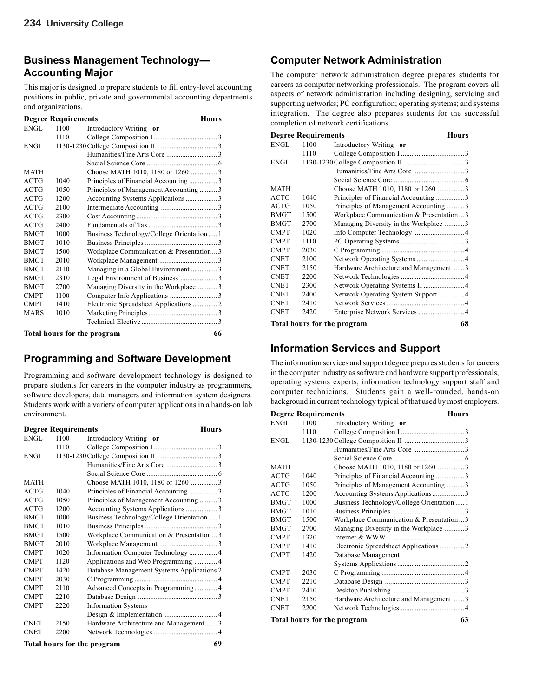### **Business Management Technology— Accounting Major**

This major is designed to prepare students to fill entry-level accounting positions in public, private and governmental accounting departments and organizations.

|             | <b>Degree Requirements</b> |                                            | <b>Hours</b> |
|-------------|----------------------------|--------------------------------------------|--------------|
| ENGL        | 1100                       | Introductory Writing or                    |              |
|             | 1110                       |                                            |              |
| ENGL        |                            |                                            |              |
|             |                            |                                            |              |
|             |                            |                                            |              |
| <b>MATH</b> |                            | Choose MATH 1010, 1180 or 1260 3           |              |
| <b>ACTG</b> | 1040                       | Principles of Financial Accounting 3       |              |
| <b>ACTG</b> | 1050                       | Principles of Management Accounting 3      |              |
| ACTG        | 1200                       | Accounting Systems Applications 3          |              |
| <b>ACTG</b> | 2100                       |                                            |              |
| ACTG        | 2300                       |                                            |              |
| ACTG        | 2400                       |                                            |              |
| <b>BMGT</b> | 1000                       | Business Technology/College Orientation  1 |              |
| <b>BMGT</b> | 1010                       |                                            |              |
| <b>BMGT</b> | 1500                       | Workplace Communication & Presentation3    |              |
| <b>BMGT</b> | 2010                       |                                            |              |
| <b>BMGT</b> | 2110                       | Managing in a Global Environment 3         |              |
| <b>BMGT</b> | 2310                       | Legal Environment of Business 3            |              |
| <b>BMGT</b> | 2700                       | Managing Diversity in the Workplace 3      |              |
| <b>CMPT</b> | 1100                       |                                            |              |
| <b>CMPT</b> | 1410                       | Electronic Spreadsheet Applications  2     |              |
| <b>MARS</b> | 1010                       |                                            |              |
|             |                            |                                            |              |
|             |                            | Total hours for the program                | 66           |

### **Programming and Software Development**

Programming and software development technology is designed to prepare students for careers in the computer industry as programmers, software developers, data managers and information system designers. Students work with a variety of computer applications in a hands-on lab environment.

|             | <b>Degree Requirements</b> | <b>Hours</b>                               |
|-------------|----------------------------|--------------------------------------------|
| <b>ENGL</b> | 1100                       | Introductory Writing or                    |
|             | 1110                       |                                            |
| ENGL        |                            |                                            |
|             |                            |                                            |
|             |                            |                                            |
| <b>MATH</b> |                            | Choose MATH 1010, 1180 or 1260 3           |
| ACTG        | 1040                       | Principles of Financial Accounting 3       |
| ACTG        | 1050                       | Principles of Management Accounting 3      |
| ACTG        | 1200                       | Accounting Systems Applications3           |
| <b>BMGT</b> | 1000                       | Business Technology/College Orientation  1 |
| <b>BMGT</b> | 1010                       |                                            |
| <b>BMGT</b> | 1500                       | Workplace Communication & Presentation3    |
| <b>BMGT</b> | 2010                       |                                            |
| <b>CMPT</b> | 1020                       |                                            |
| <b>CMPT</b> | 1120                       | Applications and Web Programming 4         |
| <b>CMPT</b> | 1420                       | Database Management Systems Applications 2 |
| <b>CMPT</b> | 2030                       |                                            |
| <b>CMPT</b> | 2110                       | Advanced Concepts in Programming 4         |
| <b>CMPT</b> | 2210                       |                                            |
| <b>CMPT</b> | 2220                       | <b>Information Systems</b>                 |
|             |                            |                                            |
| <b>CNET</b> | 2150                       | Hardware Architecture and Management 3     |
| <b>CNET</b> | 2200                       |                                            |
|             |                            | Total hours for the program<br>69          |

### **Computer Network Administration**

The computer network administration degree prepares students for careers as computer networking professionals. The program covers all aspects of network administration including designing, servicing and supporting networks; PC configuration; operating systems; and systems integration. The degree also prepares students for the successful completion of network certifications.

| <b>Degree Requirements</b> |      |                                         | <b>Hours</b> |
|----------------------------|------|-----------------------------------------|--------------|
| ENGL                       | 1100 | Introductory Writing or                 |              |
|                            | 1110 |                                         |              |
| ENGL                       |      |                                         |              |
|                            |      |                                         |              |
|                            |      |                                         |              |
| <b>MATH</b>                |      | Choose MATH 1010, 1180 or 1260 3        |              |
| <b>ACTG</b>                | 1040 | Principles of Financial Accounting 3    |              |
| ACTG                       | 1050 | Principles of Management Accounting 3   |              |
| <b>BMGT</b>                | 1500 | Workplace Communication & Presentation3 |              |
| <b>BMGT</b>                | 2700 | Managing Diversity in the Workplace 3   |              |
| <b>CMPT</b>                | 1020 | Info Computer Technology  4             |              |
| <b>CMPT</b>                | 1110 |                                         |              |
| <b>CMPT</b>                | 2030 |                                         |              |
| <b>CNET</b>                | 2100 | Network Operating Systems  4            |              |
| <b>CNET</b>                | 2150 | Hardware Architecture and Management 3  |              |
| <b>CNET</b>                | 2200 |                                         |              |
| <b>CNET</b>                | 2300 |                                         |              |
| <b>CNET</b>                | 2400 | Network Operating System Support  4     |              |
| <b>CNET</b>                | 2410 |                                         |              |
| <b>CNET</b>                | 2420 | Enterprise Network Services  4          |              |
|                            |      | <b>Total hours for the program</b>      | 68           |

### **Information Services and Support**

The information services and support degree prepares students for careers in the computer industry as software and hardware support professionals, operating systems experts, information technology support staff and computer technicians. Students gain a well-rounded, hands-on background in current technology typical of that used by most employers.

| <b>Degree Requirements</b> |      |                                            | <b>Hours</b> |
|----------------------------|------|--------------------------------------------|--------------|
| <b>ENGL</b>                | 1100 | Introductory Writing or                    |              |
|                            | 1110 |                                            |              |
| <b>ENGL</b>                |      |                                            |              |
|                            |      |                                            |              |
|                            |      |                                            |              |
| <b>MATH</b>                |      | Choose MATH 1010, 1180 or 1260 3           |              |
| <b>ACTG</b>                | 1040 | Principles of Financial Accounting 3       |              |
| <b>ACTG</b>                | 1050 | Principles of Management Accounting 3      |              |
| <b>ACTG</b>                | 1200 | Accounting Systems Applications3           |              |
| <b>BMGT</b>                | 1000 | Business Technology/College Orientation  1 |              |
| <b>BMGT</b>                | 1010 |                                            |              |
| <b>BMGT</b>                | 1500 | Workplace Communication & Presentation  3  |              |
| <b>BMGT</b>                | 2700 | Managing Diversity in the Workplace 3      |              |
| <b>CMPT</b>                | 1320 |                                            |              |
| <b>CMPT</b>                | 1410 | Electronic Spreadsheet Applications2       |              |
| <b>CMPT</b>                | 1420 | Database Management                        |              |
|                            |      |                                            |              |
| <b>CMPT</b>                | 2030 |                                            |              |
| <b>CMPT</b>                | 2210 |                                            |              |
| <b>CMPT</b>                | 2410 |                                            |              |
| <b>CNET</b>                | 2150 | Hardware Architecture and Management 3     |              |
| <b>CNET</b>                | 2200 |                                            |              |
|                            |      | Total hours for the program                | 63           |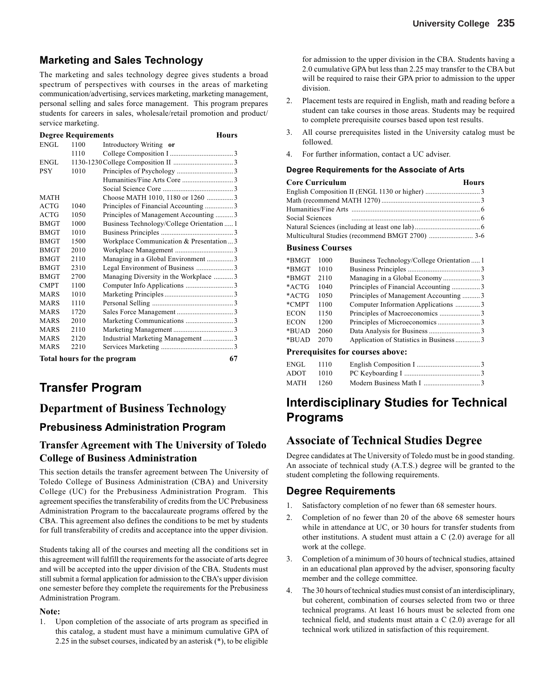### **Marketing and Sales Technology**

The marketing and sales technology degree gives students a broad spectrum of perspectives with courses in the areas of marketing communication/advertising, services marketing, marketing management, personal selling and sales force management. This program prepares students for careers in sales, wholesale/retail promotion and product/ service marketing.

|             | <b>Degree Requirements</b> | <b>Hours</b>                               |
|-------------|----------------------------|--------------------------------------------|
| ENGL        | 1100                       | Introductory Writing or                    |
|             | 1110                       |                                            |
| ENGL        |                            |                                            |
| <b>PSY</b>  | 1010                       |                                            |
|             |                            |                                            |
|             |                            |                                            |
| <b>MATH</b> |                            | Choose MATH 1010, 1180 or 1260 3           |
| <b>ACTG</b> | 1040                       | Principles of Financial Accounting 3       |
| <b>ACTG</b> | 1050                       | Principles of Management Accounting 3      |
| <b>BMGT</b> | 1000                       | Business Technology/College Orientation  1 |
| <b>BMGT</b> | 1010                       |                                            |
| <b>BMGT</b> | 1500                       | Workplace Communication & Presentation3    |
| <b>BMGT</b> | 2010                       |                                            |
| <b>BMGT</b> | 2110                       | Managing in a Global Environment 3         |
| <b>BMGT</b> | 2310                       | Legal Environment of Business 3            |
| <b>BMGT</b> | 2700                       | Managing Diversity in the Workplace 3      |
| <b>CMPT</b> | 1100                       |                                            |
| MARS        | 1010                       |                                            |
| <b>MARS</b> | 1110                       |                                            |
| <b>MARS</b> | 1720                       |                                            |
| <b>MARS</b> | 2010                       |                                            |
| <b>MARS</b> | 2110                       |                                            |
| <b>MARS</b> | 2120                       | Industrial Marketing Management 3          |
| <b>MARS</b> | 2210                       |                                            |
|             |                            | Total hours for the program<br>67          |

# **Transfer Program**

### **Department of Business Technology**

#### **Prebusiness Administration Program**

#### **Transfer Agreement with The University of Toledo College of Business Administration**

This section details the transfer agreement between The University of Toledo College of Business Administration (CBA) and University College (UC) for the Prebusiness Administration Program. This agreement specifies the transferability of credits from the UC Prebusiness Administration Program to the baccalaureate programs offered by the CBA. This agreement also defines the conditions to be met by students for full transferability of credits and acceptance into the upper division.

Students taking all of the courses and meeting all the conditions set in this agreement will fulfill the requirements for the associate of arts degree and will be accepted into the upper division of the CBA. Students must still submit a formal application for admission to the CBA's upper division one semester before they complete the requirements for the Prebusiness Administration Program.

#### **Note:**

1. Upon completion of the associate of arts program as specified in this catalog, a student must have a minimum cumulative GPA of 2.25 in the subset courses, indicated by an asterisk (\*), to be eligible for admission to the upper division in the CBA. Students having a 2.0 cumulative GPA but less than 2.25 may transfer to the CBA but will be required to raise their GPA prior to admission to the upper division.

- 2. Placement tests are required in English, math and reading before a student can take courses in those areas. Students may be required to complete prerequisite courses based upon test results.
- 3. All course prerequisites listed in the University catalog must be followed.
- 4. For further information, contact a UC adviser.

#### **Degree Requirements for the Associate of Arts**

| <b>Core Curriculum</b> | <b>Hours</b> |
|------------------------|--------------|
|                        |              |
|                        |              |
|                        |              |
|                        |              |
|                        |              |
|                        |              |

#### **Business Courses**

| *BMGT    | 1000 | Business Technology/College Orientation  1 |  |
|----------|------|--------------------------------------------|--|
| *BMGT    | 1010 |                                            |  |
| *BMGT    | 2110 | Managing in a Global Economy3              |  |
| $*$ ACTG | 1040 |                                            |  |
| *ACTG    | 1050 | Principles of Management Accounting  3     |  |
| *CMPT    | 1100 | Computer Information Applications 3        |  |
| ECON     | 1150 |                                            |  |
| ECON     | 1200 |                                            |  |
| *BUAD    | 2060 |                                            |  |
| *BUAD    | 2070 | Application of Statistics in Business3     |  |
|          |      | Draraguisites for courses above:           |  |

#### **Prerequisites for courses above:**

| ENGL 1110 |      |  |
|-----------|------|--|
| ADOT      | 1010 |  |
| MATH 1260 |      |  |

# **Interdisciplinary Studies for Technical Programs**

### **Associate of Technical Studies Degree**

Degree candidates at The University of Toledo must be in good standing. An associate of technical study (A.T.S.) degree will be granted to the student completing the following requirements.

#### **Degree Requirements**

- 1. Satisfactory completion of no fewer than 68 semester hours.
- 2. Completion of no fewer than 20 of the above 68 semester hours while in attendance at UC, or 30 hours for transfer students from other institutions. A student must attain a C (2.0) average for all work at the college.
- 3. Completion of a minimum of 30 hours of technical studies, attained in an educational plan approved by the adviser, sponsoring faculty member and the college committee.
- 4. The 30 hours of technical studies must consist of an interdisciplinary, but coherent, combination of courses selected from two or three technical programs. At least 16 hours must be selected from one technical field, and students must attain a C (2.0) average for all technical work utilized in satisfaction of this requirement.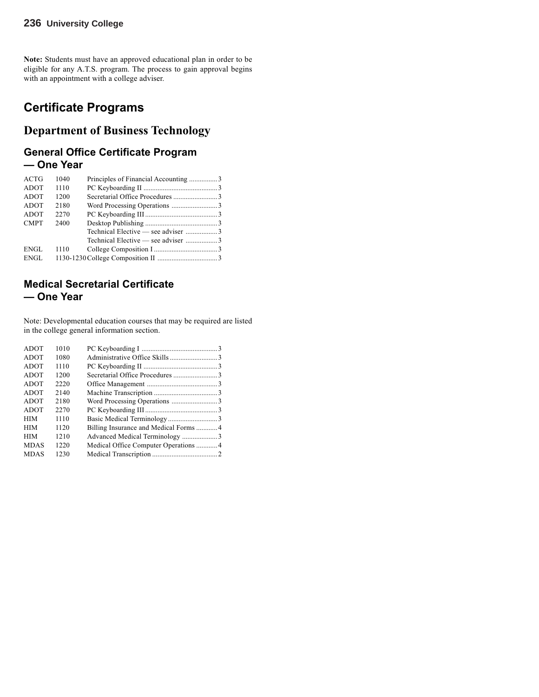#### **236 University College**

**Note:** Students must have an approved educational plan in order to be eligible for any A.T.S. program. The process to gain approval begins with an appointment with a college adviser.

## **Certificate Programs**

## **Department of Business Technology**

### **General Office Certificate Program — One Year**

| ACTG        | 1040 |                                    |  |
|-------------|------|------------------------------------|--|
| ADOT        | 1110 |                                    |  |
| ADOT        | 1200 |                                    |  |
| ADOT        | 2180 |                                    |  |
| ADOT        | 2270 |                                    |  |
| <b>CMPT</b> | 2400 |                                    |  |
|             |      | Technical Elective — see adviser 3 |  |
|             |      | Technical Elective — see adviser 3 |  |
| ENGL        | 1110 |                                    |  |
| ENGL        |      |                                    |  |
|             |      |                                    |  |

### **Medical Secretarial Certificate — One Year**

Note: Developmental education courses that may be required are listed in the college general information section.

| <b>ADOT</b> | 1010 |                                      |  |
|-------------|------|--------------------------------------|--|
| <b>ADOT</b> | 1080 |                                      |  |
| <b>ADOT</b> | 1110 |                                      |  |
| <b>ADOT</b> | 1200 |                                      |  |
| ADOT        | 2220 |                                      |  |
| ADOT        | 2140 |                                      |  |
| ADOT        | 2180 |                                      |  |
| ADOT        | 2270 |                                      |  |
| <b>HIM</b>  | 1110 |                                      |  |
| <b>HIM</b>  | 1120 |                                      |  |
| <b>HIM</b>  | 1210 |                                      |  |
| <b>MDAS</b> | 1220 | Medical Office Computer Operations 4 |  |
| <b>MDAS</b> | 1230 |                                      |  |
|             |      |                                      |  |